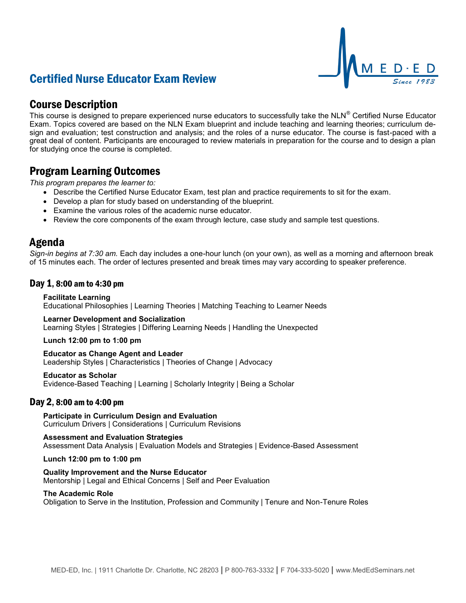# Certified Nurse Educator Exam Review



## Course Description

This course is designed to prepare experienced nurse educators to successfully take the NLN® Certified Nurse Educator Exam. Topics covered are based on the NLN Exam blueprint and include teaching and learning theories; curriculum design and evaluation; test construction and analysis; and the roles of a nurse educator. The course is fast-paced with a great deal of content. Participants are encouraged to review materials in preparation for the course and to design a plan for studying once the course is completed.

## Program Learning Outcomes

*This program prepares the learner to:*

- Describe the Certified Nurse Educator Exam, test plan and practice requirements to sit for the exam.
- Develop a plan for study based on understanding of the blueprint.
- Examine the various roles of the academic nurse educator.
- Review the core components of the exam through lecture, case study and sample test questions.

### Agenda

*Sign-in begins at 7:30 am.* Each day includes a one-hour lunch (on your own), as well as a morning and afternoon break of 15 minutes each. The order of lectures presented and break times may vary according to speaker preference.

### Day 1, 8:00 am to 4:30 pm

#### **Facilitate Learning**

Educational Philosophies | Learning Theories | Matching Teaching to Learner Needs

#### **Learner Development and Socialization**

Learning Styles | Strategies | Differing Learning Needs | Handling the Unexpected

#### **Lunch 12:00 pm to 1:00 pm**

**Educator as Change Agent and Leader** Leadership Styles | Characteristics | Theories of Change | Advocacy

#### **Educator as Scholar**

Evidence-Based Teaching | Learning | Scholarly Integrity | Being a Scholar

#### Day 2, 8:00 am to 4:00 pm

**Participate in Curriculum Design and Evaluation** Curriculum Drivers | Considerations | Curriculum Revisions

**Assessment and Evaluation Strategies** Assessment Data Analysis | Evaluation Models and Strategies | Evidence-Based Assessment

**Lunch 12:00 pm to 1:00 pm**

**Quality Improvement and the Nurse Educator** Mentorship | Legal and Ethical Concerns | Self and Peer Evaluation

#### **The Academic Role**

Obligation to Serve in the Institution, Profession and Community | Tenure and Non-Tenure Roles